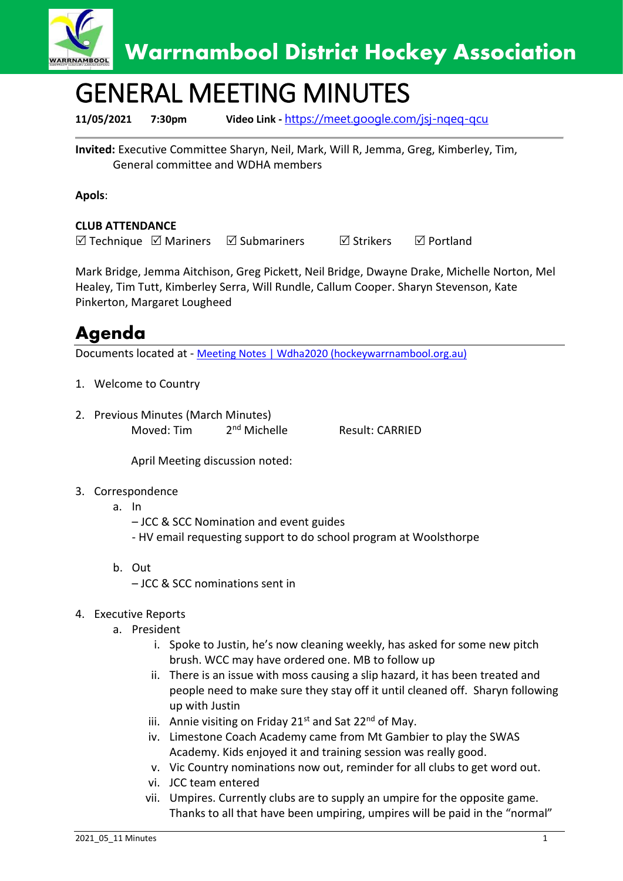

# GENERAL MEETING MINUTES

**11/05/2021 7:30pm Video Link -** [https://meet.google.com/jsj-nqeq-qcu](https://meet.google.com/jsj-nqeq-qcu?fbclid=IwAR0HGGKamTREPkTvR7HLBqHKqdab2bskl3WylzGBP054AcNW6dqIMWoUzaU)

**Invited:** Executive Committee Sharyn, Neil, Mark, Will R, Jemma, Greg, Kimberley, Tim, General committee and WDHA members

### **Apols**:

### **CLUB ATTENDANCE**

 $\boxtimes$  Technique  $\boxtimes$  Mariners  $\boxtimes$  Submariners  $\boxtimes$  Strikers  $\boxtimes$  Portland

Mark Bridge, Jemma Aitchison, Greg Pickett, Neil Bridge, Dwayne Drake, Michelle Norton, Mel Healey, Tim Tutt, Kimberley Serra, Will Rundle, Callum Cooper. Sharyn Stevenson, Kate Pinkerton, Margaret Lougheed

### **Agenda**

Documents located at - [Meeting Notes | Wdha2020 \(hockeywarrnambool.org.au\)](https://www.hockeywarrnambool.org.au/meeting-notes)

- 1. Welcome to Country
- 2. Previous Minutes (March Minutes) Moved: Tim 2<sup>nd</sup> Michelle

Result: CARRIED

April Meeting discussion noted:

#### 3. Correspondence

- a. In
	- JCC & SCC Nomination and event guides
	- HV email requesting support to do school program at Woolsthorpe
- b. Out
	- JCC & SCC nominations sent in
- 4. Executive Reports
	- a. President
		- i. Spoke to Justin, he's now cleaning weekly, has asked for some new pitch brush. WCC may have ordered one. MB to follow up
		- ii. There is an issue with moss causing a slip hazard, it has been treated and people need to make sure they stay off it until cleaned off. Sharyn following up with Justin
		- iii. Annie visiting on Friday  $21^{st}$  and Sat  $22^{nd}$  of May.
		- iv. Limestone Coach Academy came from Mt Gambier to play the SWAS Academy. Kids enjoyed it and training session was really good.
		- v. Vic Country nominations now out, reminder for all clubs to get word out.
		- vi. JCC team entered
		- vii. Umpires. Currently clubs are to supply an umpire for the opposite game. Thanks to all that have been umpiring, umpires will be paid in the "normal"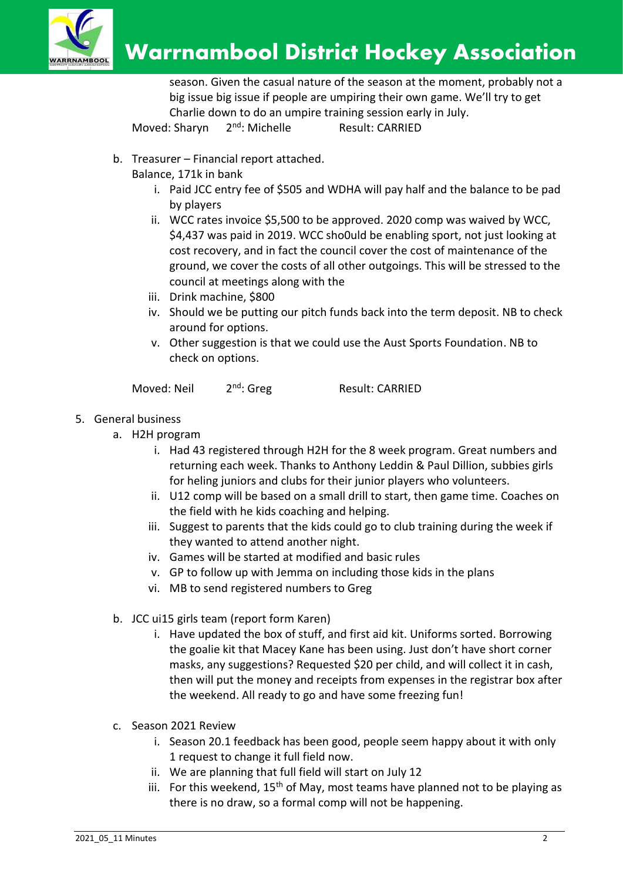

season. Given the casual nature of the season at the moment, probably not a big issue big issue if people are umpiring their own game. We'll try to get Charlie down to do an umpire training session early in July.

Moved: Sharyn 2<sup>nd</sup>: Michelle Result: CARRIED

- b. Treasurer Financial report attached.
	- Balance, 171k in bank
		- i. Paid JCC entry fee of \$505 and WDHA will pay half and the balance to be pad by players
		- ii. WCC rates invoice \$5,500 to be approved. 2020 comp was waived by WCC, \$4,437 was paid in 2019. WCC sho0uld be enabling sport, not just looking at cost recovery, and in fact the council cover the cost of maintenance of the ground, we cover the costs of all other outgoings. This will be stressed to the council at meetings along with the
		- iii. Drink machine, \$800
		- iv. Should we be putting our pitch funds back into the term deposit. NB to check around for options.
		- v. Other suggestion is that we could use the Aust Sports Foundation. NB to check on options.

Moved: Neil 2<sup>nd</sup>: Greg

Result: CARRIED

- 5. General business
	- a. H2H program
		- i. Had 43 registered through H2H for the 8 week program. Great numbers and returning each week. Thanks to Anthony Leddin & Paul Dillion, subbies girls for heling juniors and clubs for their junior players who volunteers.
		- ii. U12 comp will be based on a small drill to start, then game time. Coaches on the field with he kids coaching and helping.
		- iii. Suggest to parents that the kids could go to club training during the week if they wanted to attend another night.
		- iv. Games will be started at modified and basic rules
		- v. GP to follow up with Jemma on including those kids in the plans
		- vi. MB to send registered numbers to Greg
	- b. JCC ui15 girls team (report form Karen)
		- i. Have updated the box of stuff, and first aid kit. Uniforms sorted. Borrowing the goalie kit that Macey Kane has been using. Just don't have short corner masks, any suggestions? Requested \$20 per child, and will collect it in cash, then will put the money and receipts from expenses in the registrar box after the weekend. All ready to go and have some freezing fun!
	- c. Season 2021 Review
		- i. Season 20.1 feedback has been good, people seem happy about it with only 1 request to change it full field now.
		- ii. We are planning that full field will start on July 12
		- iii. For this weekend,  $15<sup>th</sup>$  of May, most teams have planned not to be playing as there is no draw, so a formal comp will not be happening.